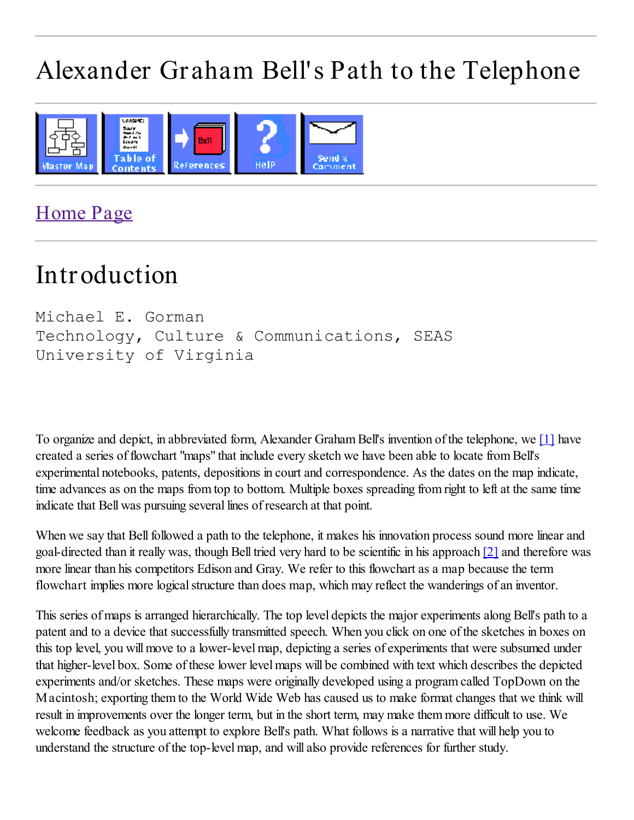# Alexander Graham Bell's Path to the Telephone



### Home Page

## Introduction

```
Michael E. Gorman
Technology, Culture & Communications, SEAS
University of Virginia
```
To organize and depict, in abbreviated form, Alexander Graham Bell's invention of the telephone, we [1] have created a series of flowchart "maps" that include every sketch we have been able to locate from Bell's experimental notebooks, patents, depositions in court and correspondence. As the dates on the map indicate, time advances as on the maps from top to bottom. Multiple boxes spreading from right to left at the same time indicate that Bell was pursuing several lines of research at that point.

When we say that Bell followed a path to the telephone, it makes his innovation process sound more linear and goal-directed than it really was, though Bell tried very hard to be scientific in his approach [2] and therefore was more linear than his competitors Edison and Gray. We refer to this flowchart as a map because the term flowchart implies more logical structure than does map, which may reflect the wanderings of an inventor.

This series of maps is arranged hierarchically. The top level depicts the major experiments along Bell's path to a patent and to a device that successfully transmitted speech. When you click on one of the sketches in boxes on this top level, you will move to a lower-level map, depicting a series of experiments that were subsumed under that higher-level box. Some of these lower level maps will be combined with text which describes the depicted experiments and/or sketches. These maps were originally developed using a program called TopDown on the Macintosh; exporting them to the World Wide Web has caused us to make format changes that we think will result in improvements over the longer term, but in the short term, may make them more difficult to use. We welcome feedback as you attempt to explore Bell's path. What follows is a narrative that will help you to understand the structure of the top-level map, and will also provide references for further study.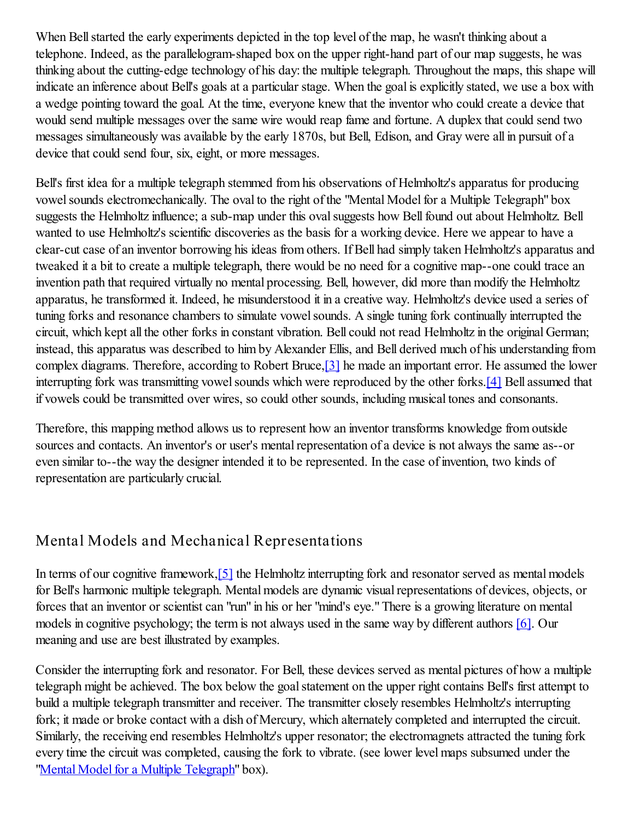When Bell started the early experiments depicted in the top level of the map, he wasn't thinking about a telephone. Indeed, as the parallelogram-shaped box on the upper right-hand part of our map suggests, he was thinking about the cutting-edge technology of his day: the multiple telegraph. Throughout the maps, this shape will indicate an inference about Bell's goals at a particular stage. When the goal is explicitly stated, we use a box with a wedge pointing toward the goal. At the time, everyone knew that the inventor who could create a device that would send multiple messages over the same wire would reap fame and fortune. A duplex that could send two messages simultaneously was available by the early 1870s, but Bell, Edison, and Gray were all in pursuit of a device that could send four, six, eight, or more messages.

Bell's first idea for a multiple telegraph stemmed from his observations of Helmholtz's apparatus for producing vowel sounds electromechanically. The oval to the right of the "Mental Model for a Multiple Telegraph" box suggests the Helmholtz influence; a sub-map under this oval suggests how Bell found out about Helmholtz. Bell wanted to use Helmholtz's scientific discoveries as the basis for a working device. Here we appear to have a clear-cut case of an inventor borrowing his ideas from others. If Bell had simply taken Helmholtz's apparatus and tweaked it a bit to create a multiple telegraph, there would be no need for a cognitive map--one could trace an invention path that required virtually no mental processing. Bell, however, did more than modify the Helmholtz apparatus, he transformed it. Indeed, he misunderstood it in a creative way. Helmholtz's device used a series of tuning forks and resonance chambers to simulate vowel sounds. A single tuning fork continually interrupted the circuit, which kept all the other forks in constant vibration. Bell could not read Helmholtz in the original German; instead, this apparatus was described to him by Alexander Ellis, and Bell derived much of his understanding from complex diagrams. Therefore, according to Robert Bruce,[3] he made an important error. He assumed the lower interrupting fork was transmitting vowel sounds which were reproduced by the other forks.[4] Bell assumed that if vowels could be transmitted over wires, so could other sounds, including musical tones and consonants.

Therefore, this mapping method allows us to represent how an inventor transforms knowledge from outside sources and contacts. An inventor's or user's mental representation of a device is not always the same as--or even similar to--the way the designer intended it to be represented. In the case of invention, two kinds of representation are particularly crucial.

#### Mental Models and Mechanical Representations

In terms of our cognitive framework,[5] the Helmholtz interrupting fork and resonator served as mental models for Bell's harmonic multiple telegraph. Mental models are dynamic visual representations of devices, objects, or forces that an inventor or scientist can "run" in his or her "mind's eye." There is a growing literature on mental models in cognitive psychology; the term is not always used in the same way by different authors [6]. Our meaning and use are best illustrated by examples.

Consider the interrupting fork and resonator. For Bell, these devices served as mental pictures of how a multiple telegraph might be achieved. The box below the goal statement on the upper right contains Bell's first attempt to build a multiple telegraph transmitter and receiver. The transmitter closely resembles Helmholtz's interrupting fork; it made or broke contact with a dish of Mercury, which alternately completed and interrupted the circuit. Similarly, the receiving end resembles Helmholtz's upper resonator; the electromagnets attracted the tuning fork every time the circuit was completed, causing the fork to vibrate. (see lower level maps subsumed under the "Mental Model for a Multiple Telegraph" box).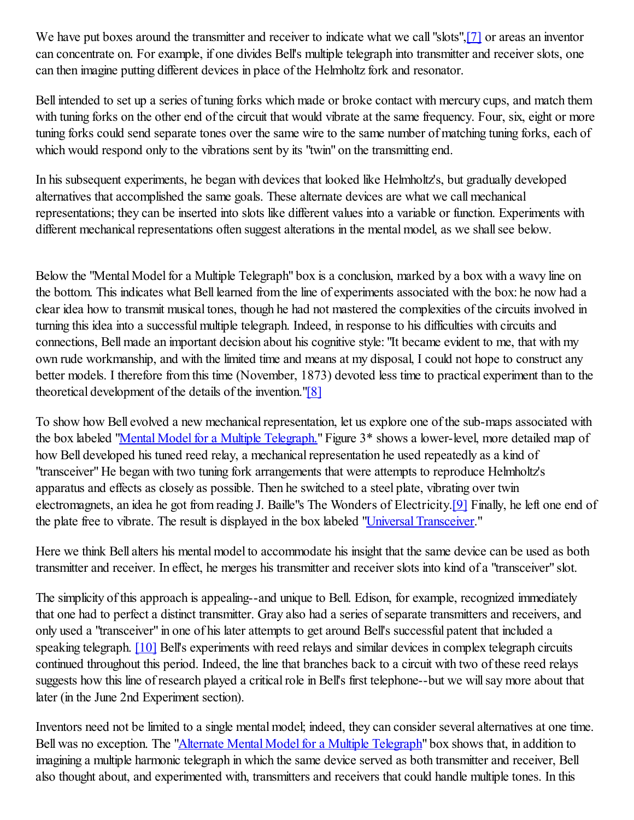We have put boxes around the transmitter and receiver to indicate what we call "slots", [7] or areas an inventor can concentrate on. For example, if one divides Bell's multiple telegraph into transmitter and receiver slots, one can then imagine putting different devices in place of the Helmholtz fork and resonator.

Bell intended to set up a series of tuning forks which made or broke contact with mercury cups, and match them with tuning forks on the other end of the circuit that would vibrate at the same frequency. Four, six, eight or more tuning forks could send separate tones over the same wire to the same number of matching tuning forks, each of which would respond only to the vibrations sent by its "twin" on the transmitting end.

In his subsequent experiments, he began with devices that looked like Helmholtz's, but gradually developed alternatives that accomplished the same goals. These alternate devices are what we call mechanical representations; they can be inserted into slots like different values into a variable or function. Experiments with different mechanical representations often suggest alterations in the mental model, as we shall see below.

Below the "Mental Model for a Multiple Telegraph" box is a conclusion, marked by a box with a wavy line on the bottom. This indicates what Bell learned from the line of experiments associated with the box: he now had a clear idea how to transmit musical tones, though he had not mastered the complexities of the circuits involved in turning this idea into a successful multiple telegraph. Indeed, in response to his difficulties with circuits and connections, Bell made an important decision about his cognitive style: "It became evident to me, that with my own rude workmanship, and with the limited time and means at my disposal, I could not hope to construct any better models. I therefore from this time (November, 1873) devoted less time to practical experiment than to the theoretical development of the details of the invention."[8]

To show how Bell evolved a new mechanical representation, let us explore one of the sub-maps associated with the box labeled "Mental Model for a Multiple Telegraph." Figure 3<sup>\*</sup> shows a lower-level, more detailed map of how Bell developed his tuned reed relay, a mechanical representation he used repeatedly as a kind of "transceiver" He began with two tuning fork arrangements that were attempts to reproduce Helmholtz's apparatus and effects as closely as possible. Then he switched to a steel plate, vibrating over twin electromagnets, an idea he got from reading J. Baille"s The Wonders of Electricity.[9] Finally, he left one end of the plate free to vibrate. The result is displayed in the box labeled "Universal Transceiver."

Here we think Bell alters his mental model to accommodate his insight that the same device can be used as both transmitter and receiver. In effect, he merges his transmitter and receiver slots into kind of a "transceiver" slot.

The simplicity of this approach is appealing--and unique to Bell. Edison, for example, recognized immediately that one had to perfect a distinct transmitter. Gray also had a series of separate transmitters and receivers, and only used a "transceiver" in one of his later attempts to get around Bell's successful patent that included a speaking telegraph. [10] Bell's experiments with reed relays and similar devices in complex telegraph circuits continued throughout this period. Indeed, the line that branches back to a circuit with two of these reed relays suggests how this line of research played a critical role in Bell's first telephone--but we will say more about that later (in the June 2nd Experiment section).

Inventors need not be limited to a single mental model; indeed, they can consider several alternatives at one time. Bell was no exception. The "*Alternate Mental Model for a Multiple Telegraph*" box shows that, in addition to imagining a multiple harmonic telegraph in which the same device served as both transmitter and receiver, Bell also thought about, and experimented with, transmitters and receivers that could handle multiple tones. In this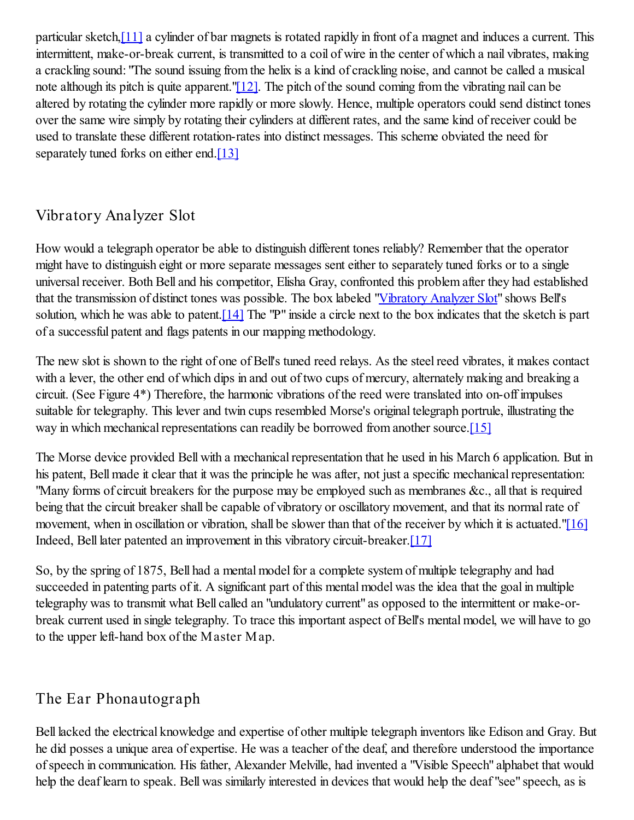particular sketch,[11] a cylinder of bar magnets is rotated rapidly in front of a magnet and induces a current. This intermittent, make-or-break current, is transmitted to a coil of wire in the center of which a nail vibrates, making a crackling sound: "The sound issuing from the helix is a kind of crackling noise, and cannot be called a musical note although its pitch is quite apparent." $[12]$ . The pitch of the sound coming from the vibrating nail can be altered by rotating the cylinder more rapidly or more slowly. Hence, multiple operators could send distinct tones over the same wire simply by rotating their cylinders at different rates, and the same kind of receiver could be used to translate these different rotation-rates into distinct messages. This scheme obviated the need for separately tuned forks on either end.<sup>[13]</sup>

#### Vibratory Analyzer Slot

How would a telegraph operator be able to distinguish different tones reliably? Remember that the operator might have to distinguish eight or more separate messages sent either to separately tuned forks or to a single universal receiver. Both Bell and his competitor, Elisha Gray, confronted this problem after they had established that the transmission of distinct tones was possible. The box labeled "Vibratory Analyzer Slot" shows Bell's solution, which he was able to patent.<sup>[14]</sup> The "P" inside a circle next to the box indicates that the sketch is part of a successful patent and flags patents in our mapping methodology.

The new slot is shown to the right of one of Bell's tuned reed relays. As the steel reed vibrates, it makes contact with a lever, the other end of which dips in and out of two cups of mercury, alternately making and breaking a circuit. (See Figure 4\*) Therefore, the harmonic vibrations of the reed were translated into on-off impulses suitable for telegraphy. This lever and twin cups resembled Morse's original telegraph portrule, illustrating the way in which mechanical representations can readily be borrowed from another source.<sup>[15]</sup>

The Morse device provided Bell with a mechanical representation that he used in his March 6 application. But in his patent, Bell made it clear that it was the principle he was after, not just a specific mechanical representation: "Many forms of circuit breakers for the purpose may be employed such as membranes &c., all that is required being that the circuit breaker shall be capable of vibratory or oscillatory movement, and that its normal rate of movement, when in oscillation or vibration, shall be slower than that of the receiver by which it is actuated."[16] Indeed, Bell later patented an improvement in this vibratory circuit-breaker.[17]

So, by the spring of 1875, Bell had a mental model for a complete system of multiple telegraphy and had succeeded in patenting parts of it. A significant part of this mental model was the idea that the goal in multiple telegraphy was to transmit what Bell called an "undulatory current" as opposed to the intermittent or make-orbreak current used in single telegraphy. To trace this important aspect of Bell's mental model, we will have to go to the upper left-hand box of the Master Map.

#### The Ear Phonautograph

Bell lacked the electrical knowledge and expertise of other multiple telegraph inventors like Edison and Gray. But he did posses a unique area of expertise. He was a teacher of the deaf, and therefore understood the importance of speech in communication. His father, Alexander Melville, had invented a "Visible Speech" alphabet that would help the deaf learn to speak. Bell was similarly interested in devices that would help the deaf "see" speech, as is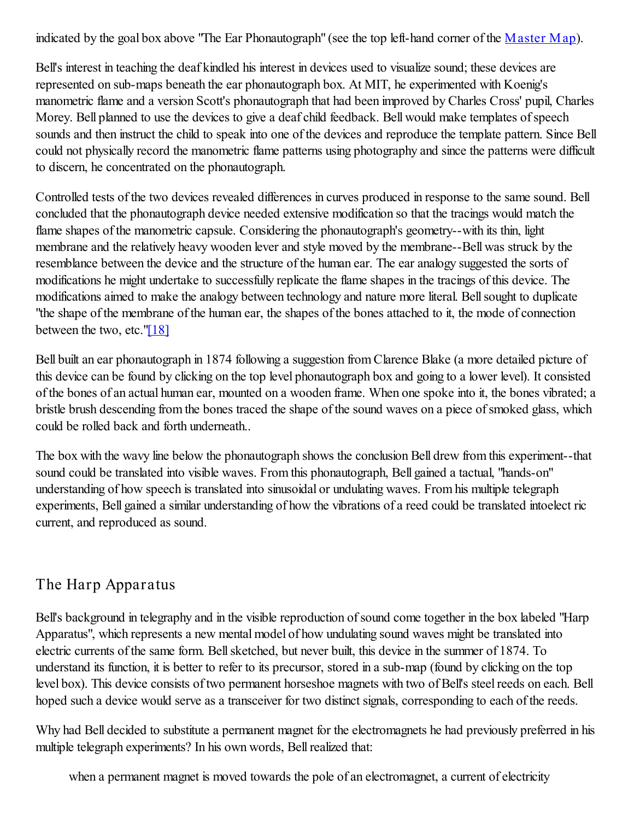indicated by the goal box above "The Ear Phonautograph" (see the top left-hand corner of the Master Map).

Bell's interest in teaching the deaf kindled his interest in devices used to visualize sound; these devices are represented on sub-maps beneath the ear phonautograph box. At MIT, he experimented with Koenig's manometric flame and a version Scott's phonautograph that had been improved by Charles Cross' pupil, Charles Morey. Bell planned to use the devices to give a deaf child feedback. Bell would make templates of speech sounds and then instruct the child to speak into one of the devices and reproduce the template pattern. Since Bell could not physically record the manometric flame patterns using photography and since the patterns were difficult to discern, he concentrated on the phonautograph.

Controlled tests of the two devices revealed differences in curves produced in response to the same sound. Bell concluded that the phonautograph device needed extensive modification so that the tracings would match the flame shapes of the manometric capsule. Considering the phonautograph's geometry--with its thin, light membrane and the relatively heavy wooden lever and style moved by the membrane--Bell was struck by the resemblance between the device and the structure of the human ear. The ear analogy suggested the sorts of modifications he might undertake to successfully replicate the flame shapes in the tracings of this device. The modifications aimed to make the analogy between technology and nature more literal. Bell sought to duplicate "the shape of the membrane of the human ear, the shapes of the bones attached to it, the mode of connection between the two, etc." $[18]$ 

Bell built an ear phonautograph in 1874 following a suggestion from Clarence Blake (a more detailed picture of this device can be found by clicking on the top level phonautograph box and going to a lower level). It consisted of the bones of an actual human ear, mounted on a wooden frame. When one spoke into it, the bones vibrated; a bristle brush descending from the bones traced the shape of the sound waves on a piece of smoked glass, which could be rolled back and forth underneath..

The box with the wavy line below the phonautograph shows the conclusion Bell drew from this experiment--that sound could be translated into visible waves. From this phonautograph, Bell gained a tactual, "hands-on" understanding of how speech is translated into sinusoidal or undulating waves. From his multiple telegraph experiments, Bell gained a similar understanding of how the vibrations of a reed could be translated intoelect ric current, and reproduced as sound.

#### The Harp Apparatus

Bell's background in telegraphy and in the visible reproduction of sound come together in the box labeled "Harp Apparatus", which represents a new mental model of how undulating sound waves might be translated into electric currents of the same form. Bell sketched, but never built, this device in the summer of 1874. To understand its function, it is better to refer to its precursor, stored in a sub-map (found by clicking on the top level box). This device consists of two permanent horseshoe magnets with two of Bell's steel reeds on each. Bell hoped such a device would serve as a transceiver for two distinct signals, corresponding to each of the reeds.

Why had Bell decided to substitute a permanent magnet for the electromagnets he had previously preferred in his multiple telegraph experiments? In his own words, Bell realized that:

when a permanent magnet is moved towards the pole of an electromagnet, a current of electricity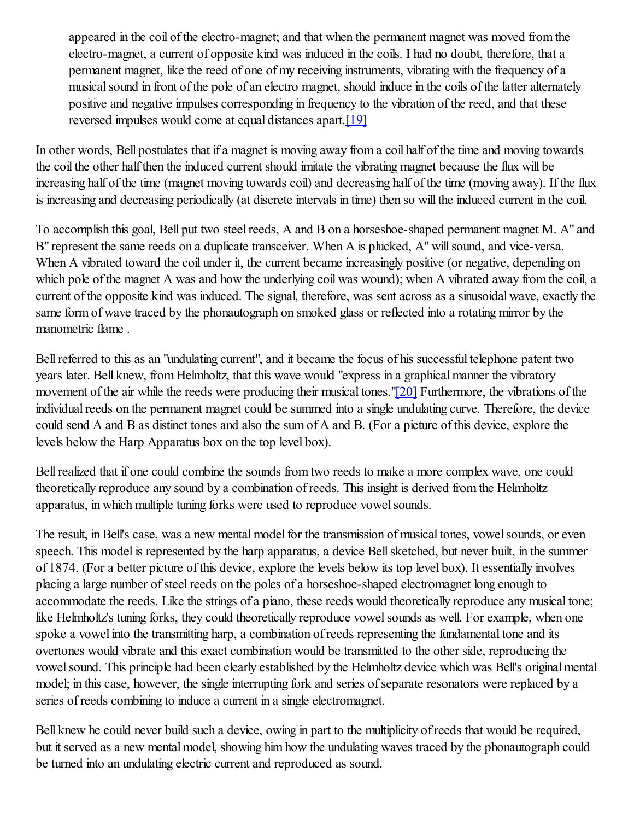appeared in the coil of the electro-magnet; and that when the permanent magnet was moved from the electro-magnet, a current of opposite kind was induced in the coils. I had no doubt, therefore, that a permanent magnet, like the reed of one of my receiving instruments, vibrating with the frequency of a musical sound in front of the pole of an electro magnet, should induce in the coils of the latter alternately positive and negative impulses corresponding in frequency to the vibration of the reed, and that these reversed impulses would come at equal distances apart.[19]

In other words, Bell postulates that if a magnet is moving away from a coil half of the time and moving towards the coil the other half then the induced current should imitate the vibrating magnet because the flux will be increasing half of the time (magnet moving towards coil) and decreasing half of the time (moving away). If the flux is increasing and decreasing periodically (at discrete intervals in time) then so will the induced current in the coil.

To accomplish this goal, Bell put two steel reeds, A and B on a horseshoe-shaped permanent magnet M. A" and B" represent the same reeds on a duplicate transceiver. When A is plucked, A" will sound, and vice-versa. When A vibrated toward the coil under it, the current became increasingly positive (or negative, depending on which pole of the magnet A was and how the underlying coil was wound); when A vibrated away from the coil, a current of the opposite kind was induced. The signal, therefore, was sent across as a sinusoidal wave, exactly the same form of wave traced by the phonautograph on smoked glass or reflected into a rotating mirror by the manometric flame .

Bell referred to this as an "undulating current", and it became the focus of his successful telephone patent two years later. Bell knew, from Helmholtz, that this wave would "express in a graphical manner the vibratory movement of the air while the reeds were producing their musical tones."[20] Furthermore, the vibrations of the individual reeds on the permanent magnet could be summed into a single undulating curve. Therefore, the device could send A and B as distinct tones and also the sum of A and B. (For a picture of this device, explore the levels below the Harp Apparatus box on the top level box).

Bell realized that if one could combine the sounds from two reeds to make a more complex wave, one could theoretically reproduce any sound by a combination of reeds. This insight is derived from the Helmholtz apparatus, in which multiple tuning forks were used to reproduce vowel sounds.

The result, in Bell's case, was a new mental model for the transmission of musical tones, vowel sounds, or even speech. This model is represented by the harp apparatus, a device Bell sketched, but never built, in the summer of 1874. (For a better picture of this device, explore the levels below its top level box). It essentially involves placing a large number of steel reeds on the poles of a horseshoe-shaped electromagnet long enough to accommodate the reeds. Like the strings of a piano, these reeds would theoretically reproduce any musical tone; like Helmholtz's tuning forks, they could theoretically reproduce vowel sounds as well. For example, when one spoke a vowel into the transmitting harp, a combination of reeds representing the fundamental tone and its overtones would vibrate and this exact combination would be transmitted to the other side, reproducing the vowel sound. This principle had been clearly established by the Helmholtz device which was Bell's original mental model; in this case, however, the single interrupting fork and series of separate resonators were replaced by a series of reeds combining to induce a current in a single electromagnet.

Bell knew he could never build such a device, owing in part to the multiplicity of reeds that would be required, but it served as a new mental model, showing him how the undulating waves traced by the phonautograph could be turned into an undulating electric current and reproduced as sound.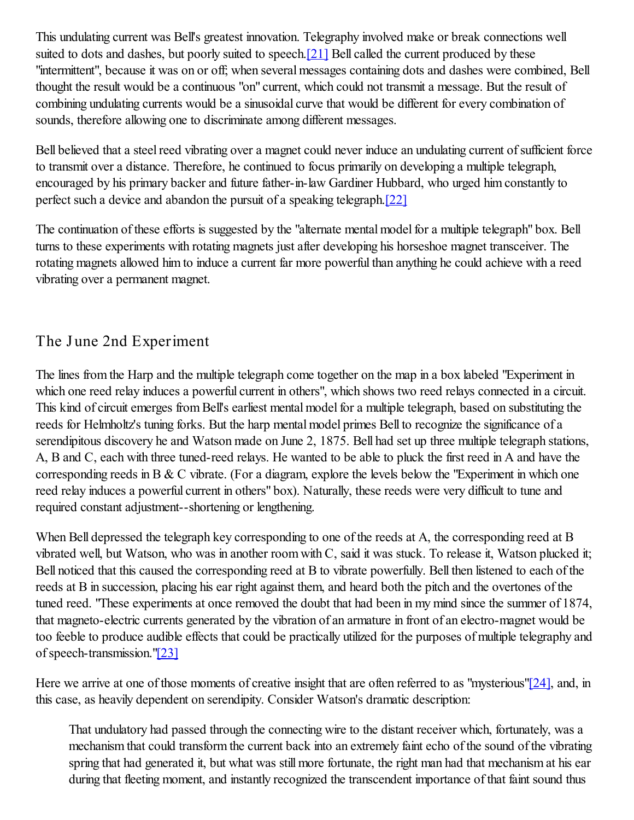This undulating current was Bell's greatest innovation. Telegraphy involved make or break connections well suited to dots and dashes, but poorly suited to speech.[21] Bell called the current produced by these "intermittent", because it was on or off; when several messages containing dots and dashes were combined, Bell thought the result would be a continuous "on" current, which could not transmit a message. But the result of combining undulating currents would be a sinusoidal curve that would be different for every combination of sounds, therefore allowing one to discriminate among different messages.

Bell believed that a steel reed vibrating over a magnet could never induce an undulating current of sufficient force to transmit over a distance. Therefore, he continued to focus primarily on developing a multiple telegraph, encouraged by his primary backer and future father-in-law Gardiner Hubbard, who urged him constantly to perfect such a device and abandon the pursuit of a speaking telegraph.[22]

The continuation of these efforts is suggested by the "alternate mental model for a multiple telegraph" box. Bell turns to these experiments with rotating magnets just after developing his horseshoe magnet transceiver. The rotating magnets allowed him to induce a current far more powerful than anything he could achieve with a reed vibrating over a permanent magnet.

#### The June 2nd Experiment

The lines from the Harp and the multiple telegraph come together on the map in a box labeled "Experiment in which one reed relay induces a powerful current in others", which shows two reed relays connected in a circuit. This kind of circuit emerges from Bell's earliest mental model for a multiple telegraph, based on substituting the reeds for Helmholtz's tuning forks. But the harp mental model primes Bell to recognize the significance of a serendipitous discovery he and Watson made on June 2, 1875. Bell had set up three multiple telegraph stations, A, B and C, each with three tuned-reed relays. He wanted to be able to pluck the first reed in A and have the corresponding reeds in B & C vibrate. (For a diagram, explore the levels below the "Experiment in which one reed relay induces a powerful current in others" box). Naturally, these reeds were very difficult to tune and required constant adjustment--shortening or lengthening.

When Bell depressed the telegraph key corresponding to one of the reeds at A, the corresponding reed at B vibrated well, but Watson, who was in another room with C, said it was stuck. To release it, Watson plucked it; Bell noticed that this caused the corresponding reed at B to vibrate powerfully. Bell then listened to each of the reeds at B in succession, placing his ear right against them, and heard both the pitch and the overtones of the tuned reed. "These experiments at once removed the doubt that had been in my mind since the summer of 1874, that magneto-electric currents generated by the vibration of an armature in front of an electro-magnet would be too feeble to produce audible effects that could be practically utilized for the purposes of multiple telegraphy and of speech-transmission."[23]

Here we arrive at one of those moments of creative insight that are often referred to as "mysterious"[24], and, in this case, as heavily dependent on serendipity. Consider Watson's dramatic description:

That undulatory had passed through the connecting wire to the distant receiver which, fortunately, was a mechanism that could transform the current back into an extremely faint echo of the sound of the vibrating spring that had generated it, but what was still more fortunate, the right man had that mechanism at his ear during that fleeting moment, and instantly recognized the transcendent importance of that faint sound thus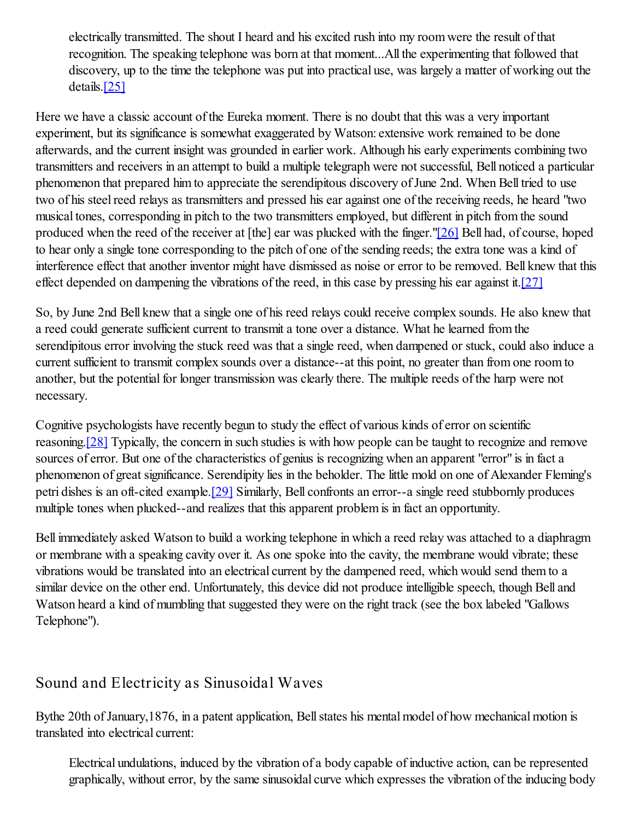electrically transmitted. The shout I heard and his excited rush into my room were the result of that recognition. The speaking telephone was born at that moment...All the experimenting that followed that discovery, up to the time the telephone was put into practical use, was largely a matter of working out the details.[25]

Here we have a classic account of the Eureka moment. There is no doubt that this was a very important experiment, but its significance is somewhat exaggerated by Watson: extensive work remained to be done afterwards, and the current insight was grounded in earlier work. Although his early experiments combining two transmitters and receivers in an attempt to build a multiple telegraph were not successful, Bell noticed a particular phenomenon that prepared him to appreciate the serendipitous discovery of June 2nd. When Bell tried to use two of his steel reed relays as transmitters and pressed his ear against one of the receiving reeds, he heard "two musical tones, corresponding in pitch to the two transmitters employed, but different in pitch from the sound produced when the reed of the receiver at [the] ear was plucked with the finger."[26] Bell had, of course, hoped to hear only a single tone corresponding to the pitch of one of the sending reeds; the extra tone was a kind of interference effect that another inventor might have dismissed as noise or error to be removed. Bell knew that this effect depended on dampening the vibrations of the reed, in this case by pressing his ear against it.  $[27]$ 

So, by June 2nd Bell knew that a single one of his reed relays could receive complex sounds. He also knew that a reed could generate sufficient current to transmit a tone over a distance. What he learned from the serendipitous error involving the stuck reed was that a single reed, when dampened or stuck, could also induce a current sufficient to transmit complex sounds over a distance--at this point, no greater than from one room to another, but the potential for longer transmission was clearly there. The multiple reeds of the harp were not necessary.

Cognitive psychologists have recently begun to study the effect of various kinds of error on scientific reasoning.[28] Typically, the concern in such studies is with how people can be taught to recognize and remove sources of error. But one of the characteristics of genius is recognizing when an apparent "error" is in fact a phenomenon of great significance. Serendipity lies in the beholder. The little mold on one of Alexander Fleming's petri dishes is an oft-cited example.[29] Similarly, Bell confronts an error--a single reed stubbornly produces multiple tones when plucked--and realizes that this apparent problem is in fact an opportunity.

Bell immediately asked Watson to build a working telephone in which a reed relay was attached to a diaphragm or membrane with a speaking cavity over it. As one spoke into the cavity, the membrane would vibrate; these vibrations would be translated into an electrical current by the dampened reed, which would send them to a similar device on the other end. Unfortunately, this device did not produce intelligible speech, though Bell and Watson heard a kind of mumbling that suggested they were on the right track (see the box labeled "Gallows Telephone").

#### Sound and Electricity as Sinusoidal Waves

Bythe 20th of January,1876, in a patent application, Bell states his mental model of how mechanical motion is translated into electrical current:

Electrical undulations, induced by the vibration of a body capable of inductive action, can be represented graphically, without error, by the same sinusoidal curve which expresses the vibration of the inducing body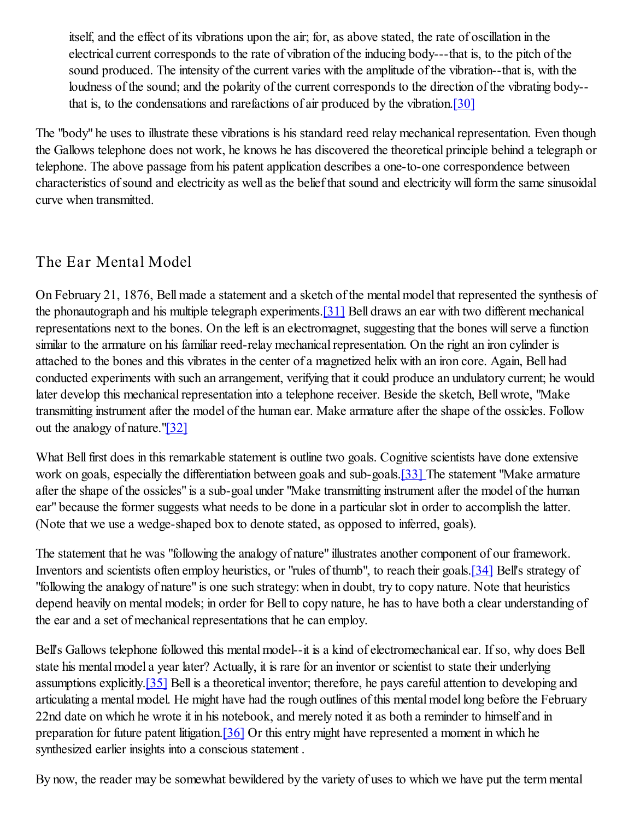itself, and the effect of its vibrations upon the air; for, as above stated, the rate of oscillation in the electrical current corresponds to the rate of vibration of the inducing body---that is, to the pitch of the sound produced. The intensity of the current varies with the amplitude of the vibration--that is, with the loudness of the sound; and the polarity of the current corresponds to the direction of the vibrating body- that is, to the condensations and rarefactions of air produced by the vibration.[30]

The "body" he uses to illustrate these vibrations is his standard reed relay mechanical representation. Even though the Gallows telephone does not work, he knows he has discovered the theoretical principle behind a telegraph or telephone. The above passage from his patent application describes a one-to-one correspondence between characteristics of sound and electricity as well as the belief that sound and electricity will form the same sinusoidal curve when transmitted.

#### The Ear Mental Model

On February 21, 1876, Bell made a statement and a sketch of the mental model that represented the synthesis of the phonautograph and his multiple telegraph experiments.[31] Bell draws an ear with two different mechanical representations next to the bones. On the left is an electromagnet, suggesting that the bones will serve a function similar to the armature on his familiar reed-relay mechanical representation. On the right an iron cylinder is attached to the bones and this vibrates in the center of a magnetized helix with an iron core. Again, Bell had conducted experiments with such an arrangement, verifying that it could produce an undulatory current; he would later develop this mechanical representation into a telephone receiver. Beside the sketch, Bell wrote, "Make transmitting instrument after the model of the human ear. Make armature after the shape of the ossicles. Follow out the analogy of nature."[32]

What Bell first does in this remarkable statement is outline two goals. Cognitive scientists have done extensive work on goals, especially the differentiation between goals and sub-goals.<sup>[33]</sup> The statement "Make armature" after the shape of the ossicles" is a sub-goal under "Make transmitting instrument after the model of the human ear" because the former suggests what needs to be done in a particular slot in order to accomplish the latter. (Note that we use a wedge-shaped box to denote stated, as opposed to inferred, goals).

The statement that he was "following the analogy of nature" illustrates another component of our framework. Inventors and scientists often employ heuristics, or "rules of thumb", to reach their goals.[34] Bell's strategy of "following the analogy of nature" is one such strategy: when in doubt, try to copy nature. Note that heuristics depend heavily on mental models; in order for Bell to copy nature, he has to have both a clear understanding of the ear and a set of mechanical representations that he can employ.

Bell's Gallows telephone followed this mental model--it is a kind of electromechanical ear. If so, why does Bell state his mental model a year later? Actually, it is rare for an inventor or scientist to state their underlying assumptions explicitly. [35] Bell is a theoretical inventor; therefore, he pays careful attention to developing and articulating a mental model. He might have had the rough outlines of this mental model long before the February 22nd date on which he wrote it in his notebook, and merely noted it as both a reminder to himself and in preparation for future patent litigation.[36] Or this entry might have represented a moment in which he synthesized earlier insights into a conscious statement .

By now, the reader may be somewhat bewildered by the variety of uses to which we have put the term mental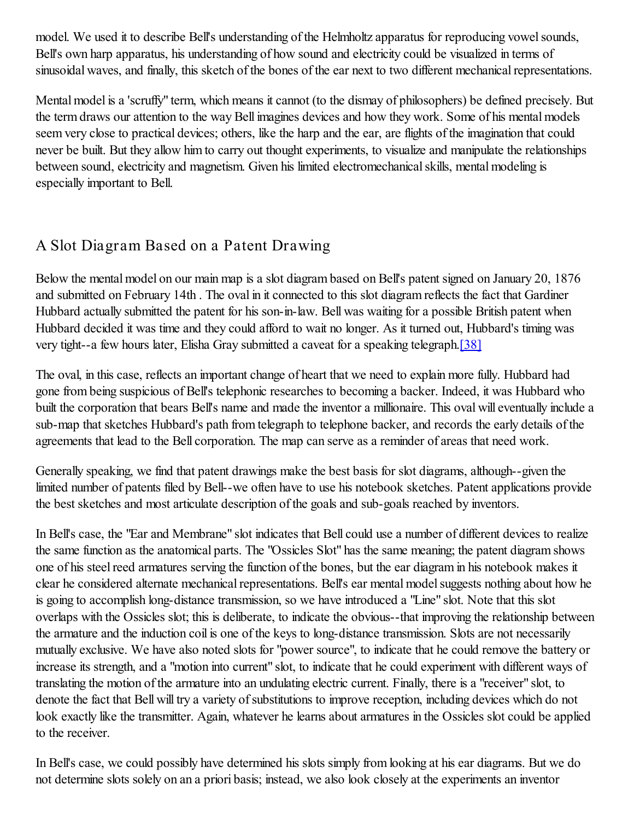model. We used it to describe Bell's understanding of the Helmholtz apparatus for reproducing vowel sounds, Bell's own harp apparatus, his understanding of how sound and electricity could be visualized in terms of sinusoidal waves, and finally, this sketch of the bones of the ear next to two different mechanical representations.

Mental model is a 'scruffy" term, which means it cannot (to the dismay of philosophers) be defined precisely. But the term draws our attention to the way Bell imagines devices and how they work. Some of his mental models seem very close to practical devices; others, like the harp and the ear, are flights of the imagination that could never be built. But they allow him to carry out thought experiments, to visualize and manipulate the relationships between sound, electricity and magnetism. Given his limited electromechanical skills, mental modeling is especially important to Bell.

#### A Slot Diagram Based on a Patent Drawing

Below the mental model on our main map is a slot diagram based on Bell's patent signed on January 20, 1876 and submitted on February 14th . The oval in it connected to this slot diagram reflects the fact that Gardiner Hubbard actually submitted the patent for his son-in-law. Bell was waiting for a possible British patent when Hubbard decided it was time and they could afford to wait no longer. As it turned out, Hubbard's timing was very tight--a few hours later, Elisha Gray submitted a caveat for a speaking telegraph.[38]

The oval, in this case, reflects an important change of heart that we need to explain more fully. Hubbard had gone from being suspicious of Bell's telephonic researches to becoming a backer. Indeed, it was Hubbard who built the corporation that bears Bell's name and made the inventor a millionaire. This oval will eventually include a sub-map that sketches Hubbard's path from telegraph to telephone backer, and records the early details of the agreements that lead to the Bell corporation. The map can serve as a reminder of areas that need work.

Generally speaking, we find that patent drawings make the best basis for slot diagrams, although--given the limited number of patents filed by Bell--we often have to use his notebook sketches. Patent applications provide the best sketches and most articulate description of the goals and sub-goals reached by inventors.

In Bell's case, the "Ear and Membrane" slot indicates that Bell could use a number of different devices to realize the same function as the anatomical parts. The "Ossicles Slot" has the same meaning; the patent diagram shows one of his steel reed armatures serving the function of the bones, but the ear diagram in his notebook makes it clear he considered alternate mechanical representations. Bell's ear mental model suggests nothing about how he is going to accomplish long-distance transmission, so we have introduced a "Line" slot. Note that this slot overlaps with the Ossicles slot; this is deliberate, to indicate the obvious--that improving the relationship between the armature and the induction coil is one of the keys to long-distance transmission. Slots are not necessarily mutually exclusive. We have also noted slots for "power source", to indicate that he could remove the battery or increase its strength, and a "motion into current" slot, to indicate that he could experiment with different ways of translating the motion of the armature into an undulating electric current. Finally, there is a "receiver" slot, to denote the fact that Bell will try a variety of substitutions to improve reception, including devices which do not look exactly like the transmitter. Again, whatever he learns about armatures in the Ossicles slot could be applied to the receiver.

In Bell's case, we could possibly have determined his slots simply from looking at his ear diagrams. But we do not determine slots solely on an a priori basis; instead, we also look closely at the experiments an inventor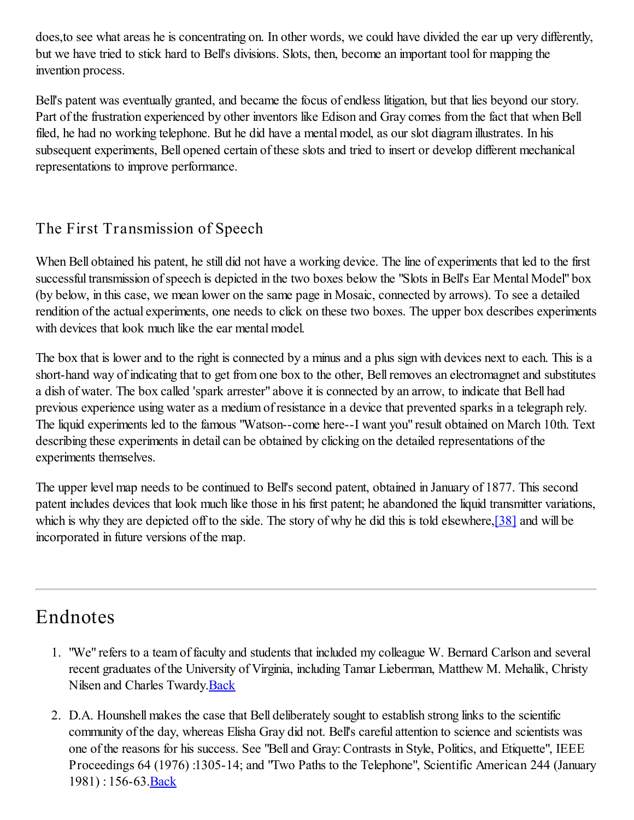does,to see what areas he is concentrating on. In other words, we could have divided the ear up very differently, but we have tried to stick hard to Bell's divisions. Slots, then, become an important tool for mapping the invention process.

Bell's patent was eventually granted, and became the focus of endless litigation, but that lies beyond our story. Part of the frustration experienced by other inventors like Edison and Gray comes from the fact that when Bell filed, he had no working telephone. But he did have a mental model, as our slot diagram illustrates. In his subsequent experiments, Bell opened certain of these slots and tried to insert or develop different mechanical representations to improve performance.

#### The First Transmission of Speech

When Bell obtained his patent, he still did not have a working device. The line of experiments that led to the first successful transmission of speech is depicted in the two boxes below the "Slots in Bell's Ear Mental Model" box (by below, in this case, we mean lower on the same page in Mosaic, connected by arrows). To see a detailed rendition of the actual experiments, one needs to click on these two boxes. The upper box describes experiments with devices that look much like the ear mental model.

The box that is lower and to the right is connected by a minus and a plus sign with devices next to each. This is a short-hand way of indicating that to get from one box to the other, Bell removes an electromagnet and substitutes a dish of water. The box called 'spark arrester" above it is connected by an arrow, to indicate that Bell had previous experience using water as a medium of resistance in a device that prevented sparks in a telegraph rely. The liquid experiments led to the famous "Watson--come here--I want you" result obtained on March 10th. Text describing these experiments in detail can be obtained by clicking on the detailed representations of the experiments themselves.

The upper level map needs to be continued to Bell's second patent, obtained in January of 1877. This second patent includes devices that look much like those in his first patent; he abandoned the liquid transmitter variations, which is why they are depicted off to the side. The story of why he did this is told elsewhere, [38] and will be incorporated in future versions of the map.

#### Endnotes

- 1. "We" refers to a team of faculty and students that included my colleague W. Bernard Carlson and several recent graduates of the University of Virginia, including Tamar Lieberman, Matthew M. Mehalik, Christy Nilsen and Charles Twardy.Back
- 2. D.A. Hounshell makes the case that Bell deliberately sought to establish strong links to the scientific community of the day, whereas Elisha Gray did not. Bell's careful attention to science and scientists was one of the reasons for his success. See "Bell and Gray: Contrasts in Style, Politics, and Etiquette", IEEE Proceedings 64 (1976) :1305-14; and "Two Paths to the Telephone", Scientific American 244 (January 1981) : 156-63.Back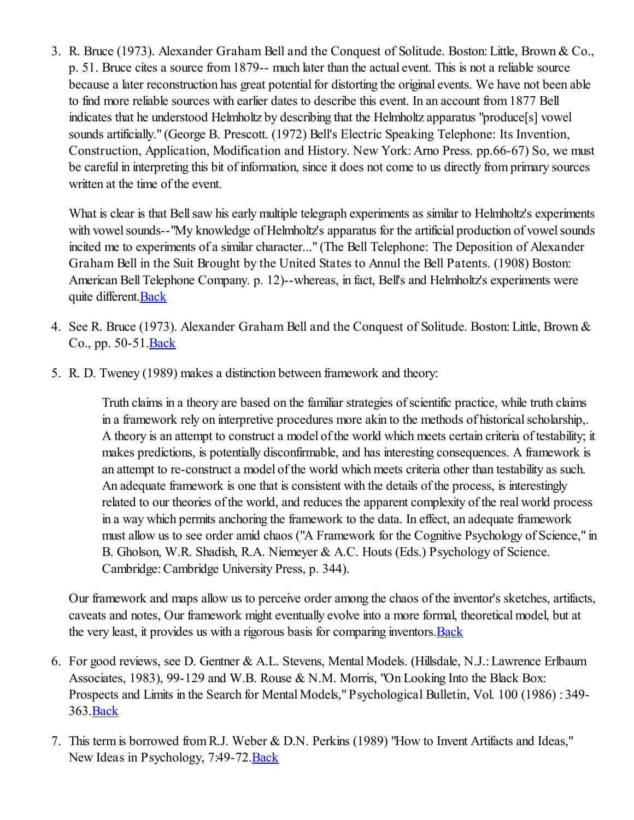3. R. Bruce (1973). Alexander Graham Bell and the Conquest of Solitude. Boston: Little, Brown & Co., p. 51. Bruce cites a source from 1879-- much later than the actual event. This is not a reliable source because a later reconstruction has great potential for distorting the original events. We have not been able to find more reliable sources with earlier dates to describe this event. In an account from 1877 Bell indicates that he understood Helmholtz by describing that the Helmholtz apparatus "produce[s] vowel sounds artificially." (George B. Prescott. (1972) Bell's Electric Speaking Telephone: Its Invention, Construction, Application, Modification and History. New York: Arno Press. pp.66-67) So, we must be careful in interpreting this bit of information, since it does not come to us directly from primary sources written at the time of the event.

What is clear is that Bell saw his early multiple telegraph experiments as similar to Helmholtz's experiments with vowel sounds--"My knowledge of Helmholtz's apparatus for the artificial production of vowel sounds incited me to experiments of a similar character..." (The Bell Telephone: The Deposition of Alexander Graham Bell in the Suit Brought by the United States to Annul the Bell Patents. (1908) Boston: American Bell Telephone Company. p. 12)--whereas, in fact, Bell's and Helmholtz's experiments were quite different. Back

- 4. See R. Bruce (1973). Alexander Graham Bell and the Conquest of Solitude. Boston: Little, Brown & Co., pp. 50-51.Back
- 5. R. D. Tweney (1989) makes a distinction between framework and theory:

Truth claims in a theory are based on the familiar strategies of scientific practice, while truth claims in a framework rely on interpretive procedures more akin to the methods of historical scholarship,. A theory is an attempt to construct a model of the world which meets certain criteria of testability; it makes predictions, is potentially disconfirmable, and has interesting consequences. A framework is an attempt to re-construct a model of the world which meets criteria other than testability as such. An adequate framework is one that is consistent with the details of the process, is interestingly related to our theories of the world, and reduces the apparent complexity of the real world process in a way which permits anchoring the framework to the data. In effect, an adequate framework must allow us to see order amid chaos ("A Framework for the Cognitive Psychology of Science," in B. Gholson, W.R. Shadish, R.A. Niemeyer & A.C. Houts (Eds.) Psychology of Science. Cambridge: Cambridge University Press, p. 344).

Our framework and maps allow us to perceive order among the chaos of the inventor's sketches, artifacts, caveats and notes, Our framework might eventually evolve into a more formal, theoretical model, but at the very least, it provides us with a rigorous basis for comparing inventors. Back

- 6. For good reviews, see D. Gentner & A.L. Stevens, Mental Models. (Hillsdale, N.J.: Lawrence Erlbaum Associates, 1983), 99-129 and W.B. Rouse & N.M. Morris, "On Looking Into the Black Box: Prospects and Limits in the Search for Mental Models," Psychological Bulletin, Vol. 100 (1986) : 349- 363.Back
- 7. This term is borrowed from R.J. Weber & D.N. Perkins (1989) "How to Invent Artifacts and Ideas," New Ideas in Psychology, 7:49-72.Back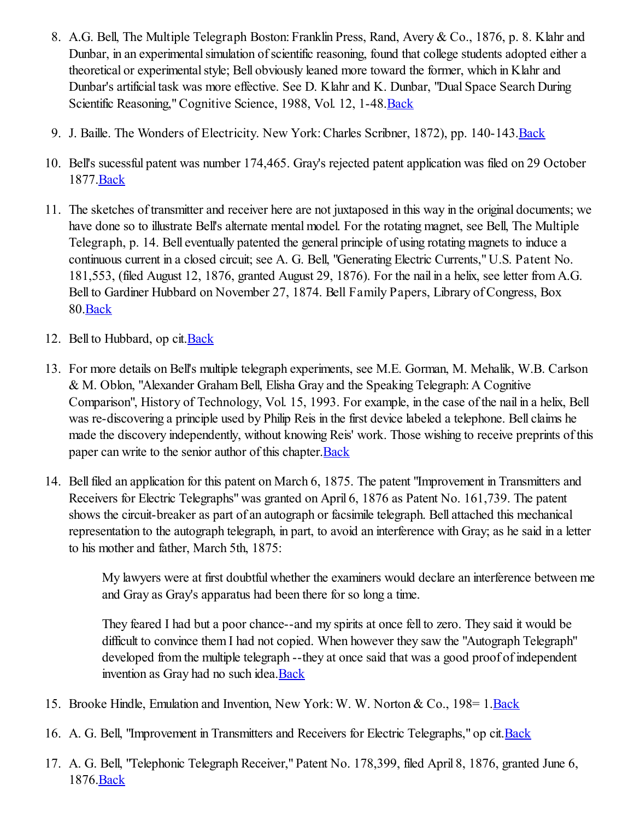- 8. A.G. Bell, The Multiple Telegraph Boston: Franklin Press, Rand, Avery & Co., 1876, p. 8. Klahr and Dunbar, in an experimental simulation of scientific reasoning, found that college students adopted either a theoretical or experimental style; Bell obviously leaned more toward the former, which in Klahr and Dunbar's artificial task was more effective. See D. Klahr and K. Dunbar, "Dual Space Search During Scientific Reasoning," Cognitive Science, 1988, Vol. 12, 1-48.Back
- 9. J. Baille. The Wonders of Electricity. New York: Charles Scribner, 1872), pp. 140-143.Back
- 10. Bell's sucessful patent was number 174,465. Gray's rejected patent application was filed on 29 October 1877.Back
- 11. The sketches of transmitter and receiver here are not juxtaposed in this way in the original documents; we have done so to illustrate Bell's alternate mental model. For the rotating magnet, see Bell, The Multiple Telegraph, p. 14. Bell eventually patented the general principle of using rotating magnets to induce a continuous current in a closed circuit; see A. G. Bell, "Generating Electric Currents," U.S. Patent No. 181,553, (filed August 12, 1876, granted August 29, 1876). For the nail in a helix, see letter from A.G. Bell to Gardiner Hubbard on November 27, 1874. Bell Family Papers, Library of Congress, Box 80.Back
- 12. Bell to Hubbard, op cit.Back
- 13. For more details on Bell's multiple telegraph experiments, see M.E. Gorman, M. Mehalik, W.B. Carlson & M. Oblon, "Alexander Graham Bell, Elisha Gray and the Speaking Telegraph: A Cognitive Comparison", History of Technology, Vol. 15, 1993. For example, in the case of the nail in a helix, Bell was re-discovering a principle used by Philip Reis in the first device labeled a telephone. Bell claims he made the discovery independently, without knowing Reis' work. Those wishing to receive preprints of this paper can write to the senior author of this chapter. Back
- 14. Bell filed an application for this patent on March 6, 1875. The patent "Improvement in Transmitters and Receivers for Electric Telegraphs" was granted on April 6, 1876 as Patent No. 161,739. The patent shows the circuit-breaker as part of an autograph or facsimile telegraph. Bell attached this mechanical representation to the autograph telegraph, in part, to avoid an interference with Gray; as he said in a letter to his mother and father, March 5th, 1875:

My lawyers were at first doubtful whether the examiners would declare an interference between me and Gray as Gray's apparatus had been there for so long a time.

They feared I had but a poor chance--and my spirits at once fell to zero. They said it would be difficult to convince them I had not copied. When however they saw the "Autograph Telegraph" developed from the multiple telegraph --they at once said that was a good proof of independent invention as Gray had no such idea.Back

- 15. Brooke Hindle, Emulation and Invention, New York: W. W. Norton & Co., 198= 1.Back
- 16. A. G. Bell, "Improvement in Transmitters and Receivers for Electric Telegraphs," op cit.Back
- 17. A. G. Bell, "Telephonic Telegraph Receiver," Patent No. 178,399, filed April 8, 1876, granted June 6, 1876.Back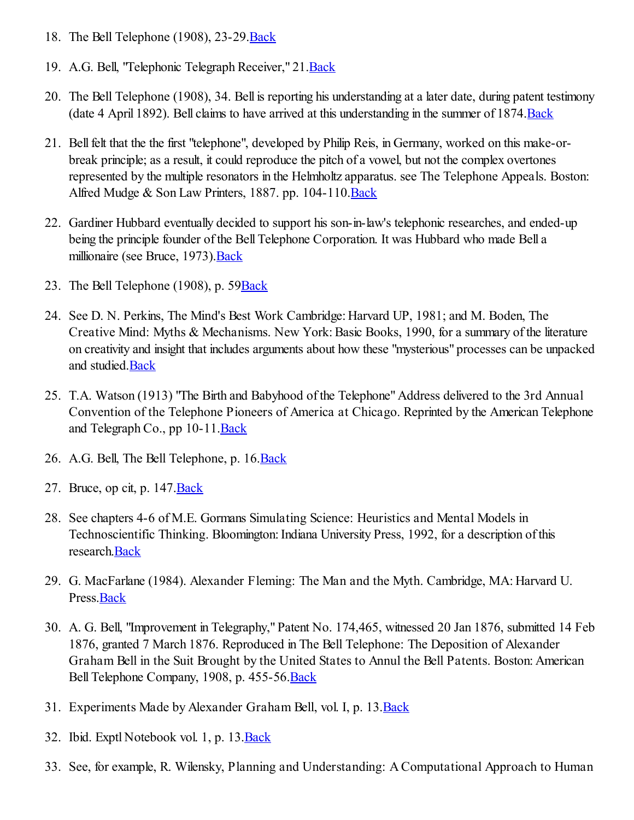- 18. The Bell Telephone (1908), 23-29.Back
- 19. A.G. Bell, "Telephonic Telegraph Receiver," 21. Back
- 20. The Bell Telephone (1908), 34. Bell is reporting his understanding at a later date, during patent testimony (date 4 April 1892). Bell claims to have arrived at this understanding in the summer of 1874.Back
- 21. Bell felt that the the first "telephone", developed by Philip Reis, in Germany, worked on this make-orbreak principle; as a result, it could reproduce the pitch of a vowel, but not the complex overtones represented by the multiple resonators in the Helmholtz apparatus. see The Telephone Appeals. Boston: Alfred Mudge & Son Law Printers, 1887. pp. 104-110. Back
- 22. Gardiner Hubbard eventually decided to support his son-in-law's telephonic researches, and ended-up being the principle founder of the Bell Telephone Corporation. It was Hubbard who made Bell a millionaire (see Bruce, 1973). Back
- 23. The Bell Telephone (1908), p. 59Back
- 24. See D. N. Perkins, The Mind's Best Work Cambridge: Harvard UP, 1981; and M. Boden, The Creative Mind: Myths & Mechanisms. New York: Basic Books, 1990, for a summary of the literature on creativity and insight that includes arguments about how these "mysterious" processes can be unpacked and studied.Back
- 25. T.A. Watson (1913) "The Birth and Babyhood of the Telephone" Address delivered to the 3rd Annual Convention of the Telephone Pioneers of America at Chicago. Reprinted by the American Telephone and Telegraph Co., pp 10-11.Back
- 26. A.G. Bell, The Bell Telephone, p. 16. Back
- 27. Bruce, op cit, p.  $147 \text{. Back}$
- 28. See chapters 4-6 of M.E. Gormans Simulating Science: Heuristics and Mental Models in Technoscientific Thinking. Bloomington: Indiana University Press, 1992, for a description of this research.Back
- 29. G. MacFarlane (1984). Alexander Fleming: The Man and the Myth. Cambridge, MA: Harvard U. Press.**Back**
- 30. A. G. Bell, "Improvement in Telegraphy," Patent No. 174,465, witnessed 20 Jan 1876, submitted 14 Feb 1876, granted 7 March 1876. Reproduced in The Bell Telephone: The Deposition of Alexander Graham Bell in the Suit Brought by the United States to Annul the Bell Patents. Boston: American Bell Telephone Company, 1908, p. 455-56. Back
- 31. Experiments Made by Alexander Graham Bell, vol. I, p. 13.Back
- 32. Ibid. Exptl Notebook vol. 1, p. 13. Back
- 33. See, for example, R. Wilensky, Planning and Understanding: A Computational Approach to Human